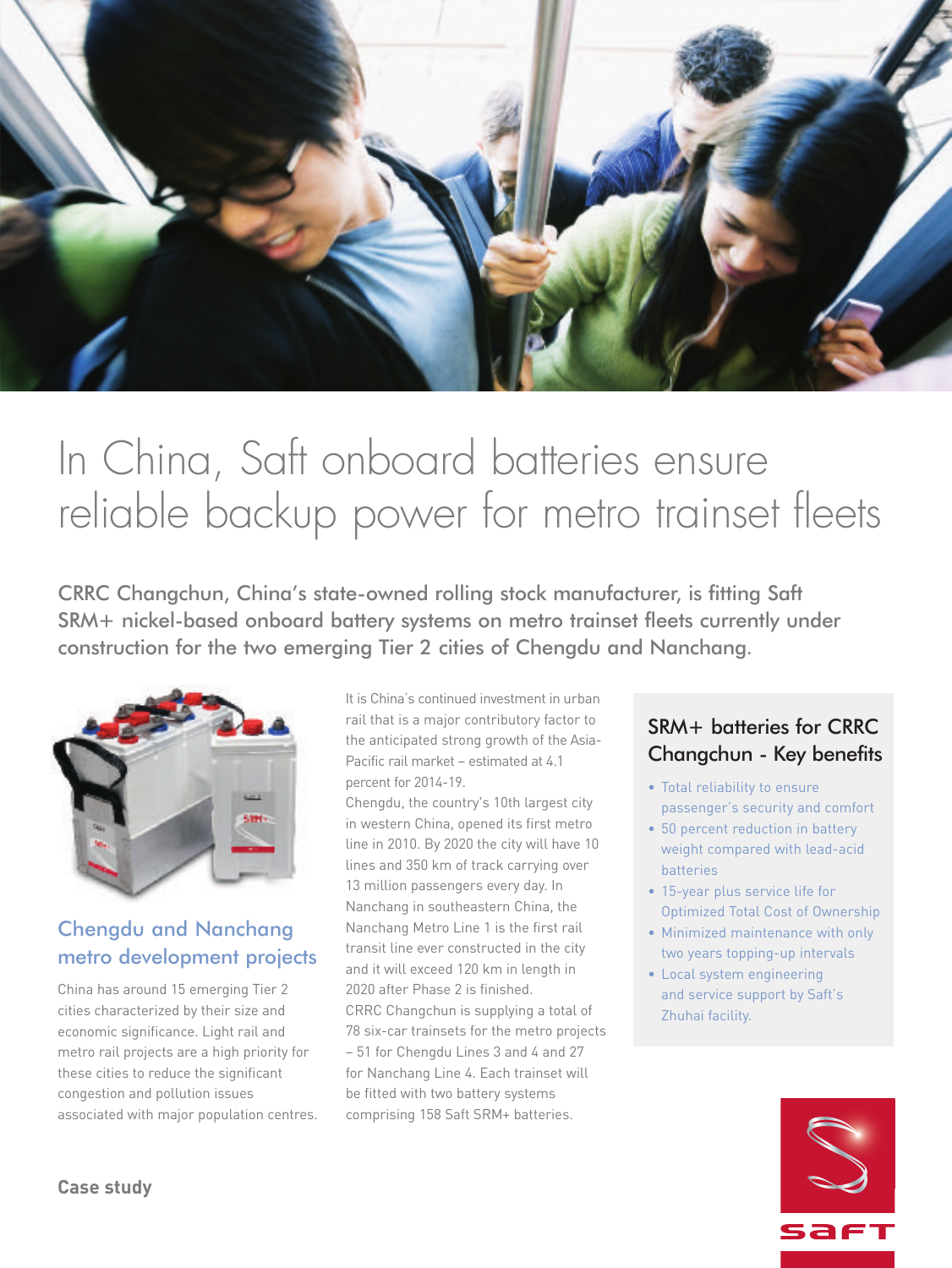

# In China, Saft onboard batteries ensure reliable backup power for metro trainset fleets

CRRC Changchun, China's state-owned rolling stock manufacturer, is fitting Saft SRM+ nickel-based onboard battery systems on metro trainset fleets currently under construction for the two emerging Tier 2 cities of Chengdu and Nanchang.



## Chengdu and Nanchang metro development projects

China has around 15 emerging Tier 2 cities characterized by their size and economic significance. Light rail and metro rail projects are a high priority for these cities to reduce the significant congestion and pollution issues associated with major population centres. It is China's continued investment in urban rail that is a major contributory factor to the anticipated strong growth of the Asia-Pacific rail market – estimated at 4.1 percent for 2014-19.

Chengdu, the country's 10th largest city in western China, opened its first metro line in 2010. By 2020 the city will have 10 lines and 350 km of track carrying over 13 million passengers every day. In Nanchang in southeastern China, the Nanchang Metro Line 1 is the first rail transit line ever constructed in the city and it will exceed 120 km in length in 2020 after Phase 2 is finished. CRRC Changchun is supplying a total of 78 six-car trainsets for the metro projects – 51 for Chengdu Lines 3 and 4 and 27 for Nanchang Line 4. Each trainset will be fitted with two battery systems comprising 158 Saft SRM+ batteries.

## SRM+ batteries for CRRC Changchun - Key benefits

- Total reliability to ensure passenger's security and comfort
- 50 percent reduction in battery weight compared with lead-acid batteries
- 15-year plus service life for Optimized Total Cost of Ownership
- Minimized maintenance with only two years topping-up intervals
- Local system engineering and service support by Saft's Zhuhai facility.